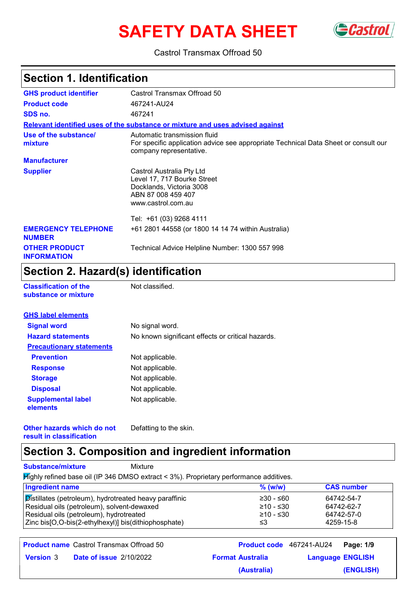# **SAFETY DATA SHEET**



#### Castrol Transmax Offroad 50

# **Section 1. Identification**

| <b>GHS product identifier</b>               | Castrol Transmax Offroad 50                                                                                                                    |
|---------------------------------------------|------------------------------------------------------------------------------------------------------------------------------------------------|
| <b>Product code</b>                         | 467241-AU24                                                                                                                                    |
| SDS no.                                     | 467241                                                                                                                                         |
|                                             | Relevant identified uses of the substance or mixture and uses advised against                                                                  |
| Use of the substance/<br>mixture            | Automatic transmission fluid<br>For specific application advice see appropriate Technical Data Sheet or consult our<br>company representative. |
| <b>Manufacturer</b>                         |                                                                                                                                                |
| <b>Supplier</b>                             | Castrol Australia Pty Ltd<br>Level 17, 717 Bourke Street<br>Docklands, Victoria 3008<br>ABN 87 008 459 407<br>www.castrol.com.au               |
|                                             | Tel: +61 (03) 9268 4111                                                                                                                        |
| <b>EMERGENCY TELEPHONE</b><br><b>NUMBER</b> | +61 2801 44558 (or 1800 14 14 74 within Australia)                                                                                             |
| <b>OTHER PRODUCT</b><br><b>INFORMATION</b>  | Technical Advice Helpline Number: 1300 557 998                                                                                                 |

### **Section 2. Hazard(s) identification**

| <b>Classification of the</b> |  |  |  |
|------------------------------|--|--|--|
| substance or mixture         |  |  |  |

**Not classified.** 

| <b>GHS label elements</b>             |                                                   |
|---------------------------------------|---------------------------------------------------|
| <b>Signal word</b>                    | No signal word.                                   |
| <b>Hazard statements</b>              | No known significant effects or critical hazards. |
| <b>Precautionary statements</b>       |                                                   |
| <b>Prevention</b>                     | Not applicable.                                   |
| <b>Response</b>                       | Not applicable.                                   |
| <b>Storage</b>                        | Not applicable.                                   |
| <b>Disposal</b>                       | Not applicable.                                   |
| <b>Supplemental label</b><br>elements | Not applicable.                                   |

**Other hazards which do not result in classification** Defatting to the skin.

### **Section 3. Composition and ingredient information**

**Substance/mixture** Mixture

Highly refined base oil (IP 346 DMSO extract < 3%). Proprietary performance additives.

| <b>Ingredient name</b>                                 | $%$ (w/w)   | <b>CAS number</b> |
|--------------------------------------------------------|-------------|-------------------|
| Distillates (petroleum), hydrotreated heavy paraffinic | $≥30 - ≤60$ | 64742-54-7        |
| Residual oils (petroleum), solvent-dewaxed             | $≥10 - ≤30$ | 64742-62-7        |
| Residual oils (petroleum), hydrotreated                | ≥10 - ≤30   | 64742-57-0        |
| Zinc bis[O,O-bis(2-ethylhexyl)] bis(dithiophosphate)   | ≤3          | 4259-15-8         |

|                  | <b>Product name</b> Castrol Transmax Offroad 50 |                         | <b>Product code</b> 467241-AU24 | Page: 1/9 |
|------------------|-------------------------------------------------|-------------------------|---------------------------------|-----------|
| <b>Version 3</b> | <b>Date of issue 2/10/2022</b>                  | <b>Format Australia</b> | <b>Language ENGLISH</b>         |           |
|                  |                                                 | (Australia)             |                                 | (ENGLISH) |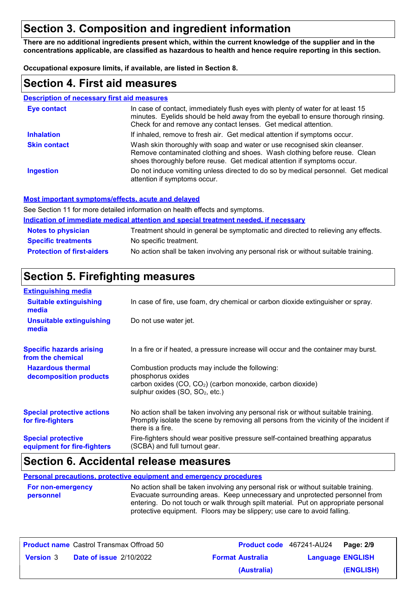# **Section 3. Composition and ingredient information**

**There are no additional ingredients present which, within the current knowledge of the supplier and in the concentrations applicable, are classified as hazardous to health and hence require reporting in this section.**

**Occupational exposure limits, if available, are listed in Section 8.**

#### **Section 4. First aid measures**

| <b>Description of necessary first aid measures</b> |                                                                                                                                                                                                                                         |
|----------------------------------------------------|-----------------------------------------------------------------------------------------------------------------------------------------------------------------------------------------------------------------------------------------|
| <b>Eye contact</b>                                 | In case of contact, immediately flush eyes with plenty of water for at least 15<br>minutes. Eyelids should be held away from the eyeball to ensure thorough rinsing.<br>Check for and remove any contact lenses. Get medical attention. |
| <b>Inhalation</b>                                  | If inhaled, remove to fresh air. Get medical attention if symptoms occur.                                                                                                                                                               |
| <b>Skin contact</b>                                | Wash skin thoroughly with soap and water or use recognised skin cleanser.<br>Remove contaminated clothing and shoes. Wash clothing before reuse. Clean<br>shoes thoroughly before reuse. Get medical attention if symptoms occur.       |
| <b>Ingestion</b>                                   | Do not induce vomiting unless directed to do so by medical personnel. Get medical<br>attention if symptoms occur.                                                                                                                       |

#### **Most important symptoms/effects, acute and delayed**

See Section 11 for more detailed information on health effects and symptoms.

| Indication of immediate medical attention and special treatment needed, if necessary |                                                                                    |  |
|--------------------------------------------------------------------------------------|------------------------------------------------------------------------------------|--|
| <b>Notes to physician</b>                                                            | Treatment should in general be symptomatic and directed to relieving any effects.  |  |
| <b>Specific treatments</b>                                                           | No specific treatment.                                                             |  |
| <b>Protection of first-aiders</b>                                                    | No action shall be taken involving any personal risk or without suitable training. |  |

### **Section 5. Firefighting measures**

| <b>Extinguishing media</b>                               |                                                                                                                                                                                                   |
|----------------------------------------------------------|---------------------------------------------------------------------------------------------------------------------------------------------------------------------------------------------------|
| <b>Suitable extinguishing</b><br>media                   | In case of fire, use foam, dry chemical or carbon dioxide extinguisher or spray.                                                                                                                  |
| <b>Unsuitable extinguishing</b><br>media                 | Do not use water jet.                                                                                                                                                                             |
| <b>Specific hazards arising</b><br>from the chemical     | In a fire or if heated, a pressure increase will occur and the container may burst.                                                                                                               |
| <b>Hazardous thermal</b><br>decomposition products       | Combustion products may include the following:<br>phosphorus oxides<br>carbon oxides (CO, CO <sub>2</sub> ) (carbon monoxide, carbon dioxide)<br>sulphur oxides (SO, SO <sub>2</sub> , etc.)      |
| <b>Special protective actions</b><br>for fire-fighters   | No action shall be taken involving any personal risk or without suitable training.<br>Promptly isolate the scene by removing all persons from the vicinity of the incident if<br>there is a fire. |
| <b>Special protective</b><br>equipment for fire-fighters | Fire-fighters should wear positive pressure self-contained breathing apparatus<br>(SCBA) and full turnout gear.                                                                                   |

### **Section 6. Accidental release measures**

**Personal precautions, protective equipment and emergency procedures**

No action shall be taken involving any personal risk or without suitable training. Evacuate surrounding areas. Keep unnecessary and unprotected personnel from entering. Do not touch or walk through spilt material. Put on appropriate personal protective equipment. Floors may be slippery; use care to avoid falling. **For non-emergency personnel**

| <b>Product name</b> Castrol Transmax Offroad 50    |                         | Product code 467241-AU24 | Page: 2/9 |
|----------------------------------------------------|-------------------------|--------------------------|-----------|
| <b>Date of issue 2/10/2022</b><br><b>Version 3</b> | <b>Format Australia</b> | <b>Language ENGLISH</b>  |           |
|                                                    | (Australia)             |                          | (ENGLISH) |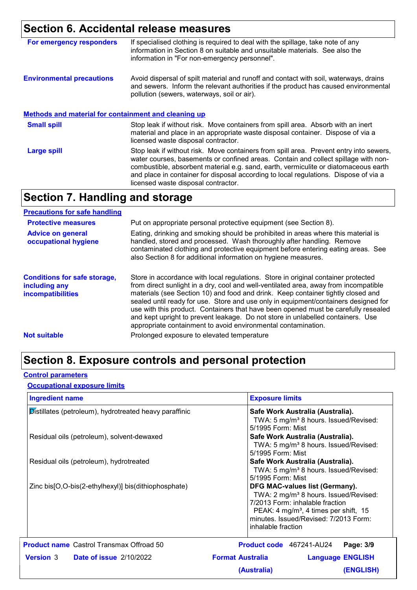### **Section 6. Accidental release measures**

| For emergency responders                                    | If specialised clothing is required to deal with the spillage, take note of any<br>information in Section 8 on suitable and unsuitable materials. See also the<br>information in "For non-emergency personnel".                                                                                                                                                                                    |
|-------------------------------------------------------------|----------------------------------------------------------------------------------------------------------------------------------------------------------------------------------------------------------------------------------------------------------------------------------------------------------------------------------------------------------------------------------------------------|
| <b>Environmental precautions</b>                            | Avoid dispersal of spilt material and runoff and contact with soil, waterways, drains<br>and sewers. Inform the relevant authorities if the product has caused environmental<br>pollution (sewers, waterways, soil or air).                                                                                                                                                                        |
| <b>Methods and material for containment and cleaning up</b> |                                                                                                                                                                                                                                                                                                                                                                                                    |
| <b>Small spill</b>                                          | Stop leak if without risk. Move containers from spill area. Absorb with an inert<br>material and place in an appropriate waste disposal container. Dispose of via a<br>licensed waste disposal contractor.                                                                                                                                                                                         |
| <b>Large spill</b>                                          | Stop leak if without risk. Move containers from spill area. Prevent entry into sewers,<br>water courses, basements or confined areas. Contain and collect spillage with non-<br>combustible, absorbent material e.g. sand, earth, vermiculite or diatomaceous earth<br>and place in container for disposal according to local regulations. Dispose of via a<br>licensed waste disposal contractor. |

### **Section 7. Handling and storage**

#### **Advice on general occupational hygiene Conditions for safe storage, including any incompatibilities** Eating, drinking and smoking should be prohibited in areas where this material is handled, stored and processed. Wash thoroughly after handling. Remove contaminated clothing and protective equipment before entering eating areas. See also Section 8 for additional information on hygiene measures. Store in accordance with local regulations. Store in original container protected from direct sunlight in a dry, cool and well-ventilated area, away from incompatible materials (see Section 10) and food and drink. Keep container tightly closed and sealed until ready for use. Store and use only in equipment/containers designed for use with this product. Containers that have been opened must be carefully resealed and kept upright to prevent leakage. Do not store in unlabelled containers. Use appropriate containment to avoid environmental contamination. **Protective measures** Put on appropriate personal protective equipment (see Section 8). **Precautions for safe handling Not suitable Not suitable** Prolonged exposure to elevated temperature

### **Section 8. Exposure controls and personal protection**

#### **Control parameters**

#### **Occupational exposure limits**

| <b>Ingredient name</b>                                   | <b>Exposure limits</b>                                                                                                                                                                                                                     |
|----------------------------------------------------------|--------------------------------------------------------------------------------------------------------------------------------------------------------------------------------------------------------------------------------------------|
| Distillates (petroleum), hydrotreated heavy paraffinic   | Safe Work Australia (Australia).<br>TWA: 5 mg/m <sup>3</sup> 8 hours. Issued/Revised:<br>5/1995 Form: Mist                                                                                                                                 |
| Residual oils (petroleum), solvent-dewaxed               | Safe Work Australia (Australia).<br>TWA: 5 mg/m <sup>3</sup> 8 hours. Issued/Revised:<br>5/1995 Form: Mist                                                                                                                                 |
| Residual oils (petroleum), hydrotreated                  | Safe Work Australia (Australia).<br>TWA: 5 mg/m <sup>3</sup> 8 hours. Issued/Revised:<br>5/1995 Form: Mist                                                                                                                                 |
| Zinc bis [O, O-bis (2-ethylhexyl)] bis (dithiophosphate) | DFG MAC-values list (Germany).<br>TWA: 2 mg/m <sup>3</sup> 8 hours. Issued/Revised:<br>7/2013 Form: inhalable fraction<br>PEAK: 4 mg/m <sup>3</sup> , 4 times per shift, 15<br>minutes. Issued/Revised: 7/2013 Form:<br>inhalable fraction |
| <b>Product name</b> Castrol Transmax Offroad 50          | Product code 467241-AU24<br>Page: 3/9                                                                                                                                                                                                      |
| <b>Version 3</b> Date of issue 2/10/2022                 | <b>Format Australia</b><br><b>Language ENGLISH</b>                                                                                                                                                                                         |
|                                                          | (Australia)<br>(ENGLISH)                                                                                                                                                                                                                   |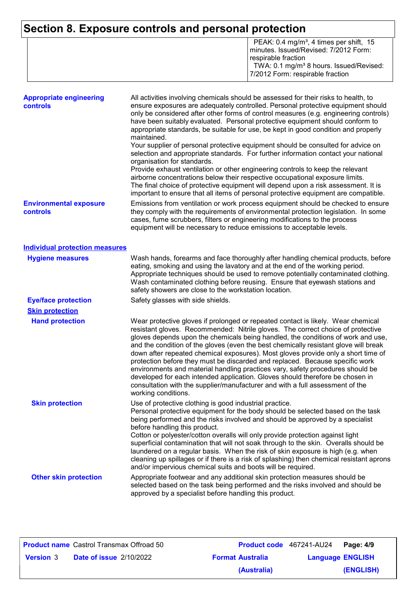# **Section 8. Exposure controls and personal protection**

|  | PEAK: $0.4 \text{ mg/m}^3$ , 4 times per shift, 15<br>minutes. Issued/Revised: 7/2012 Form:<br>l respirable fraction.<br>TWA: 0.1 mg/m <sup>3</sup> 8 hours. Issued/Revised:<br>7/2012 Form: respirable fraction |
|--|------------------------------------------------------------------------------------------------------------------------------------------------------------------------------------------------------------------|
|--|------------------------------------------------------------------------------------------------------------------------------------------------------------------------------------------------------------------|

| <b>Appropriate engineering</b><br>controls | All activities involving chemicals should be assessed for their risks to health, to<br>ensure exposures are adequately controlled. Personal protective equipment should<br>only be considered after other forms of control measures (e.g. engineering controls)<br>have been suitably evaluated. Personal protective equipment should conform to<br>appropriate standards, be suitable for use, be kept in good condition and properly<br>maintained.<br>Your supplier of personal protective equipment should be consulted for advice on<br>selection and appropriate standards. For further information contact your national<br>organisation for standards.<br>Provide exhaust ventilation or other engineering controls to keep the relevant<br>airborne concentrations below their respective occupational exposure limits.<br>The final choice of protective equipment will depend upon a risk assessment. It is<br>important to ensure that all items of personal protective equipment are compatible. |  |  |  |
|--------------------------------------------|---------------------------------------------------------------------------------------------------------------------------------------------------------------------------------------------------------------------------------------------------------------------------------------------------------------------------------------------------------------------------------------------------------------------------------------------------------------------------------------------------------------------------------------------------------------------------------------------------------------------------------------------------------------------------------------------------------------------------------------------------------------------------------------------------------------------------------------------------------------------------------------------------------------------------------------------------------------------------------------------------------------|--|--|--|
| <b>Environmental exposure</b><br>controls  | Emissions from ventilation or work process equipment should be checked to ensure<br>they comply with the requirements of environmental protection legislation. In some<br>cases, fume scrubbers, filters or engineering modifications to the process<br>equipment will be necessary to reduce emissions to acceptable levels.                                                                                                                                                                                                                                                                                                                                                                                                                                                                                                                                                                                                                                                                                 |  |  |  |
| <b>Individual protection measures</b>      |                                                                                                                                                                                                                                                                                                                                                                                                                                                                                                                                                                                                                                                                                                                                                                                                                                                                                                                                                                                                               |  |  |  |
| <b>Hygiene measures</b>                    | Wash hands, forearms and face thoroughly after handling chemical products, before<br>eating, smoking and using the lavatory and at the end of the working period.<br>Appropriate techniques should be used to remove potentially contaminated clothing.<br>Wash contaminated clothing before reusing. Ensure that eyewash stations and<br>safety showers are close to the workstation location.                                                                                                                                                                                                                                                                                                                                                                                                                                                                                                                                                                                                               |  |  |  |
| <b>Eye/face protection</b>                 | Safety glasses with side shields.                                                                                                                                                                                                                                                                                                                                                                                                                                                                                                                                                                                                                                                                                                                                                                                                                                                                                                                                                                             |  |  |  |
| <b>Skin protection</b>                     |                                                                                                                                                                                                                                                                                                                                                                                                                                                                                                                                                                                                                                                                                                                                                                                                                                                                                                                                                                                                               |  |  |  |
| <b>Hand protection</b>                     | Wear protective gloves if prolonged or repeated contact is likely. Wear chemical<br>resistant gloves. Recommended: Nitrile gloves. The correct choice of protective<br>gloves depends upon the chemicals being handled, the conditions of work and use,<br>and the condition of the gloves (even the best chemically resistant glove will break<br>down after repeated chemical exposures). Most gloves provide only a short time of<br>protection before they must be discarded and replaced. Because specific work<br>environments and material handling practices vary, safety procedures should be<br>developed for each intended application. Gloves should therefore be chosen in<br>consultation with the supplier/manufacturer and with a full assessment of the<br>working conditions.                                                                                                                                                                                                               |  |  |  |
| <b>Skin protection</b>                     | Use of protective clothing is good industrial practice.<br>Personal protective equipment for the body should be selected based on the task<br>being performed and the risks involved and should be approved by a specialist<br>before handling this product.<br>Cotton or polyester/cotton overalls will only provide protection against light<br>superficial contamination that will not soak through to the skin. Overalls should be<br>laundered on a regular basis. When the risk of skin exposure is high (e.g. when<br>cleaning up spillages or if there is a risk of splashing) then chemical resistant aprons<br>and/or impervious chemical suits and boots will be required.                                                                                                                                                                                                                                                                                                                         |  |  |  |
| <b>Other skin protection</b>               | Appropriate footwear and any additional skin protection measures should be<br>selected based on the task being performed and the risks involved and should be                                                                                                                                                                                                                                                                                                                                                                                                                                                                                                                                                                                                                                                                                                                                                                                                                                                 |  |  |  |

approved by a specialist before handling this product.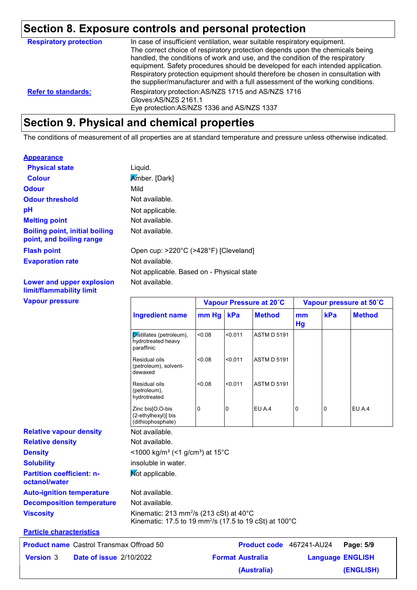# **Section 8. Exposure controls and personal protection**

| <b>Respiratory protection</b> | In case of insufficient ventilation, wear suitable respiratory equipment.<br>The correct choice of respiratory protection depends upon the chemicals being<br>handled, the conditions of work and use, and the condition of the respiratory<br>equipment. Safety procedures should be developed for each intended application.<br>Respiratory protection equipment should therefore be chosen in consultation with<br>the supplier/manufacturer and with a full assessment of the working conditions. |
|-------------------------------|-------------------------------------------------------------------------------------------------------------------------------------------------------------------------------------------------------------------------------------------------------------------------------------------------------------------------------------------------------------------------------------------------------------------------------------------------------------------------------------------------------|
| <b>Refer to standards:</b>    | Respiratory protection: AS/NZS 1715 and AS/NZS 1716<br>Gloves: AS/NZS 2161.1<br>Eye protection: AS/NZS 1336 and AS/NZS 1337                                                                                                                                                                                                                                                                                                                                                                           |

### **Section 9. Physical and chemical properties**

The conditions of measurement of all properties are at standard temperature and pressure unless otherwise indicated.

#### **Appearance**

| <b>Physical state</b>                                             | Liquid.                                   |
|-------------------------------------------------------------------|-------------------------------------------|
| <b>Colour</b>                                                     | Amber. [Dark]                             |
| <b>Odour</b>                                                      | Mild                                      |
| <b>Odour threshold</b>                                            | Not available.                            |
| рH                                                                | Not applicable.                           |
| <b>Melting point</b>                                              | Not available.                            |
| <b>Boiling point, initial boiling</b><br>point, and boiling range | Not available.                            |
| <b>Flash point</b>                                                | Open cup: >220°C (>428°F) [Cleveland]     |
| <b>Evaporation rate</b>                                           | Not available.                            |
|                                                                   | Not applicable. Based on - Physical state |
| Lower and upper explosion                                         | Not available.                            |

**Vapour pressure Lower and upper explosion limit/flammability limit**

| <b>Vapour pressure</b>                             |                                                                                                                                      |          |                         | Vapour Pressure at 20°C  | Vapour pressure at 50°C |     |                         |
|----------------------------------------------------|--------------------------------------------------------------------------------------------------------------------------------------|----------|-------------------------|--------------------------|-------------------------|-----|-------------------------|
|                                                    | <b>Ingredient name</b>                                                                                                               | mm Hg    | kPa                     | <b>Method</b>            | mm<br>Hg                | kPa | <b>Method</b>           |
|                                                    | Distillates (petroleum),<br>hydrotreated heavy<br>paraffinic                                                                         | < 0.08   | < 0.011                 | <b>ASTM D 5191</b>       |                         |     |                         |
|                                                    | Residual oils<br>(petroleum), solvent-<br>dewaxed                                                                                    | < 0.08   | < 0.011                 | <b>ASTM D 5191</b>       |                         |     |                         |
|                                                    | Residual oils<br>(petroleum),<br>hydrotreated                                                                                        | < 0.08   | < 0.011                 | <b>ASTM D 5191</b>       |                         |     |                         |
|                                                    | Zinc bis[O,O-bis<br>(2-ethylhexyl)] bis<br>(dithiophosphate)                                                                         | $\Omega$ | n                       | EU A.4                   | 0                       | 0   | EU A.4                  |
| <b>Relative vapour density</b>                     | Not available.                                                                                                                       |          |                         |                          |                         |     |                         |
| <b>Relative density</b>                            | Not available.                                                                                                                       |          |                         |                          |                         |     |                         |
| <b>Density</b>                                     | <1000 kg/m <sup>3</sup> (<1 g/cm <sup>3</sup> ) at 15 <sup>°</sup> C                                                                 |          |                         |                          |                         |     |                         |
| <b>Solubility</b>                                  | insoluble in water.                                                                                                                  |          |                         |                          |                         |     |                         |
| <b>Partition coefficient: n-</b><br>octanol/water  | Not applicable.                                                                                                                      |          |                         |                          |                         |     |                         |
| <b>Auto-ignition temperature</b>                   | Not available.                                                                                                                       |          |                         |                          |                         |     |                         |
| <b>Decomposition temperature</b>                   | Not available.                                                                                                                       |          |                         |                          |                         |     |                         |
| <b>Viscosity</b>                                   | Kinematic: 213 mm <sup>2</sup> /s (213 cSt) at 40°C<br>Kinematic: 17.5 to 19 mm <sup>2</sup> /s (17.5 to 19 cSt) at 100 $^{\circ}$ C |          |                         |                          |                         |     |                         |
| <b>Particle characteristics</b>                    |                                                                                                                                      |          |                         |                          |                         |     |                         |
| <b>Product name</b> Castrol Transmax Offroad 50    |                                                                                                                                      |          |                         | Product code 467241-AU24 |                         |     | Page: 5/9               |
| <b>Version 3</b><br><b>Date of issue 2/10/2022</b> |                                                                                                                                      |          | <b>Format Australia</b> |                          |                         |     | <b>Language ENGLISH</b> |

**(Australia)**

**(ENGLISH)**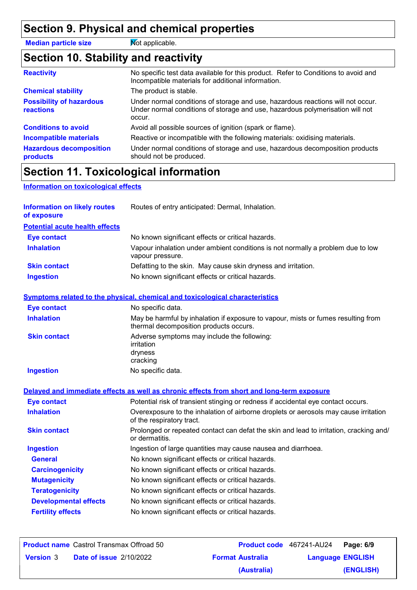# **Section 9. Physical and chemical properties**

**Median particle size** Mot applicable.

# **Section 10. Stability and reactivity**

| <b>Reactivity</b>                            | No specific test data available for this product. Refer to Conditions to avoid and<br>Incompatible materials for additional information.                                   |  |  |  |
|----------------------------------------------|----------------------------------------------------------------------------------------------------------------------------------------------------------------------------|--|--|--|
| <b>Chemical stability</b>                    | The product is stable.                                                                                                                                                     |  |  |  |
| <b>Possibility of hazardous</b><br>reactions | Under normal conditions of storage and use, hazardous reactions will not occur.<br>Under normal conditions of storage and use, hazardous polymerisation will not<br>occur. |  |  |  |
| <b>Conditions to avoid</b>                   | Avoid all possible sources of ignition (spark or flame).                                                                                                                   |  |  |  |
| Incompatible materials                       | Reactive or incompatible with the following materials: oxidising materials.                                                                                                |  |  |  |
| <b>Hazardous decomposition</b><br>products   | Under normal conditions of storage and use, hazardous decomposition products<br>should not be produced.                                                                    |  |  |  |

# **Section 11. Toxicological information**

#### **Information on toxicological effects**

| <b>Information on likely routes</b><br>of exposure | Routes of entry anticipated: Dermal, Inhalation.                                                                            |  |  |  |
|----------------------------------------------------|-----------------------------------------------------------------------------------------------------------------------------|--|--|--|
| <b>Potential acute health effects</b>              |                                                                                                                             |  |  |  |
| <b>Eye contact</b>                                 | No known significant effects or critical hazards.                                                                           |  |  |  |
| <b>Inhalation</b>                                  | Vapour inhalation under ambient conditions is not normally a problem due to low<br>vapour pressure.                         |  |  |  |
| <b>Skin contact</b>                                | Defatting to the skin. May cause skin dryness and irritation.                                                               |  |  |  |
| <b>Ingestion</b>                                   | No known significant effects or critical hazards.                                                                           |  |  |  |
|                                                    | Symptoms related to the physical, chemical and toxicological characteristics                                                |  |  |  |
| <b>Eye contact</b>                                 | No specific data.                                                                                                           |  |  |  |
| <b>Inhalation</b>                                  | May be harmful by inhalation if exposure to vapour, mists or fumes resulting from<br>thermal decomposition products occurs. |  |  |  |
| <b>Skin contact</b>                                | Adverse symptoms may include the following:<br>irritation<br>dryness<br>cracking                                            |  |  |  |
| <b>Ingestion</b>                                   | No specific data.                                                                                                           |  |  |  |
|                                                    | Delayed and immediate effects as well as chronic effects from short and long-term exposure                                  |  |  |  |
| <b>Eye contact</b>                                 | Potential risk of transient stinging or redness if accidental eye contact occurs.                                           |  |  |  |
| <b>Inhalation</b>                                  | Overexposure to the inhalation of airborne droplets or aerosols may cause irritation<br>of the respiratory tract.           |  |  |  |
| <b>Skin contact</b>                                | Prolonged or repeated contact can defat the skin and lead to irritation, cracking and/<br>or dermatitis.                    |  |  |  |
| <b>Ingestion</b>                                   | Ingestion of large quantities may cause nausea and diarrhoea.                                                               |  |  |  |
| <b>General</b>                                     | No known significant effects or critical hazards.                                                                           |  |  |  |
| <b>Carcinogenicity</b>                             | No known significant effects or critical hazards.                                                                           |  |  |  |
| <b>Mutagenicity</b>                                | No known significant effects or critical hazards.                                                                           |  |  |  |
| <b>Teratogenicity</b>                              | No known significant effects or critical hazards.                                                                           |  |  |  |
| <b>Developmental effects</b>                       | No known significant effects or critical hazards.                                                                           |  |  |  |
| <b>Fertility effects</b>                           | No known significant effects or critical hazards.                                                                           |  |  |  |

| <b>Product name</b> Castrol Transmax Offroad 50 |                                |                         | Product code 467241-AU24 Page: 6/9 |           |
|-------------------------------------------------|--------------------------------|-------------------------|------------------------------------|-----------|
| <b>Version 3</b>                                | <b>Date of issue 2/10/2022</b> | <b>Format Australia</b> | <b>Language ENGLISH</b>            |           |
|                                                 |                                | (Australia)             |                                    | (ENGLISH) |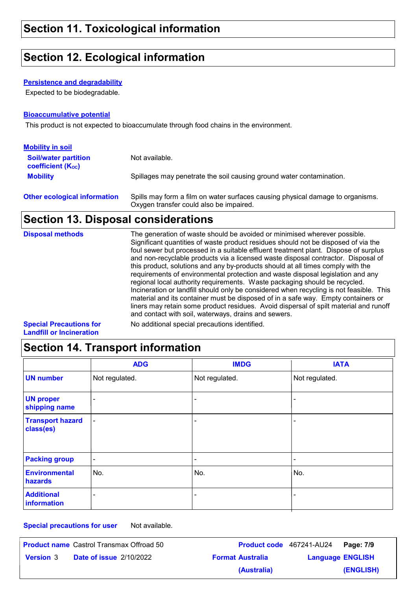### **Section 12. Ecological information**

#### **Persistence and degradability**

Expected to be biodegradable.

#### **Bioaccumulative potential**

This product is not expected to bioaccumulate through food chains in the environment.

| <b>Mobility in soil</b>                                 |                                                                                                                           |
|---------------------------------------------------------|---------------------------------------------------------------------------------------------------------------------------|
| <b>Soil/water partition</b><br><b>coefficient (Koc)</b> | Not available.                                                                                                            |
| <b>Mobility</b>                                         | Spillages may penetrate the soil causing ground water contamination.                                                      |
| <b>Other ecological information</b>                     | Spills may form a film on water surfaces causing physical damage to organisms.<br>Oxygen transfer could also be impaired. |

### **Section 13. Disposal considerations**

| <b>Disposal methods</b>       | The generation of waste should be avoided or minimised wherever possible.<br>Significant quantities of waste product residues should not be disposed of via the<br>foul sewer but processed in a suitable effluent treatment plant. Dispose of surplus<br>and non-recyclable products via a licensed waste disposal contractor. Disposal of<br>this product, solutions and any by-products should at all times comply with the<br>requirements of environmental protection and waste disposal legislation and any<br>regional local authority requirements. Waste packaging should be recycled.<br>Incineration or landfill should only be considered when recycling is not feasible. This<br>material and its container must be disposed of in a safe way. Empty containers or<br>liners may retain some product residues. Avoid dispersal of spilt material and runoff<br>and contact with soil, waterways, drains and sewers. |
|-------------------------------|----------------------------------------------------------------------------------------------------------------------------------------------------------------------------------------------------------------------------------------------------------------------------------------------------------------------------------------------------------------------------------------------------------------------------------------------------------------------------------------------------------------------------------------------------------------------------------------------------------------------------------------------------------------------------------------------------------------------------------------------------------------------------------------------------------------------------------------------------------------------------------------------------------------------------------|
| <b>Chapiel Dreamblang far</b> | No odditional anogial processtions identified                                                                                                                                                                                                                                                                                                                                                                                                                                                                                                                                                                                                                                                                                                                                                                                                                                                                                    |

**Special Precautions for Landfill or Incineration**

No additional special precautions identified.

### **Section 14. Transport information**

|                                      | <b>ADG</b>               | <b>IMDG</b>    | <b>IATA</b>    |
|--------------------------------------|--------------------------|----------------|----------------|
| <b>UN number</b>                     | Not regulated.           | Not regulated. | Not regulated. |
| <b>UN proper</b><br>shipping name    | ۰                        | ۰              |                |
| <b>Transport hazard</b><br>class(es) | $\overline{\phantom{a}}$ |                |                |
| <b>Packing group</b>                 | $\blacksquare$           | ۰              |                |
| <b>Environmental</b><br>hazards      | No.                      | No.            | No.            |
| <b>Additional</b><br>information     | -                        |                |                |

**Special precautions for user** Not available.

| <b>Product name</b> Castrol Transmax Offroad 50 |                                |                         | Product code 467241-AU24 | Page: 7/9 |
|-------------------------------------------------|--------------------------------|-------------------------|--------------------------|-----------|
| <b>Version 3</b>                                | <b>Date of issue 2/10/2022</b> | <b>Format Australia</b> | <b>Language ENGLISH</b>  |           |
|                                                 |                                | (Australia)             |                          | (ENGLISH) |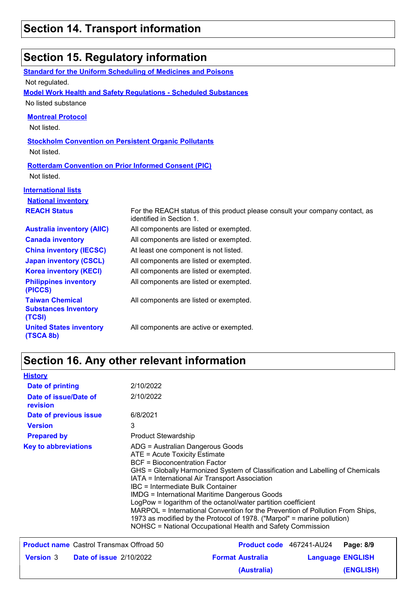| Section 15. Regulatory information                                         |                                                                                                          |  |  |  |
|----------------------------------------------------------------------------|----------------------------------------------------------------------------------------------------------|--|--|--|
|                                                                            | <b>Standard for the Uniform Scheduling of Medicines and Poisons</b>                                      |  |  |  |
| Not regulated.                                                             |                                                                                                          |  |  |  |
|                                                                            | <b>Model Work Health and Safety Requiations - Scheduled Substances</b>                                   |  |  |  |
| No listed substance                                                        |                                                                                                          |  |  |  |
| <b>Montreal Protocol</b>                                                   |                                                                                                          |  |  |  |
| Not listed.                                                                |                                                                                                          |  |  |  |
| <b>Stockholm Convention on Persistent Organic Pollutants</b>               |                                                                                                          |  |  |  |
| Not listed.                                                                |                                                                                                          |  |  |  |
| <b>Rotterdam Convention on Prior Informed Consent (PIC)</b><br>Not listed. |                                                                                                          |  |  |  |
| <b>International lists</b>                                                 |                                                                                                          |  |  |  |
| <b>National inventory</b>                                                  |                                                                                                          |  |  |  |
| <b>REACH Status</b>                                                        | For the REACH status of this product please consult your company contact, as<br>identified in Section 1. |  |  |  |
| <b>Australia inventory (AIIC)</b>                                          | All components are listed or exempted.                                                                   |  |  |  |
| <b>Canada inventory</b>                                                    | All components are listed or exempted.                                                                   |  |  |  |
| <b>China inventory (IECSC)</b>                                             | At least one component is not listed.                                                                    |  |  |  |
| <b>Japan inventory (CSCL)</b>                                              | All components are listed or exempted.                                                                   |  |  |  |
| <b>Korea inventory (KECI)</b>                                              | All components are listed or exempted.                                                                   |  |  |  |
| <b>Philippines inventory</b><br>(PICCS)                                    | All components are listed or exempted.                                                                   |  |  |  |
| <b>Taiwan Chemical</b><br><b>Substances Inventory</b><br>(TCSI)            | All components are listed or exempted.                                                                   |  |  |  |
| <b>United States inventory</b><br>(TSCA 8b)                                | All components are active or exempted.                                                                   |  |  |  |

# **Section 16. Any other relevant information**

| <b>History</b>                                     |                                                                                                                                         |                                                                                                                                                                                                                                                                                                                                                                                                                                                                                    |  |                         |
|----------------------------------------------------|-----------------------------------------------------------------------------------------------------------------------------------------|------------------------------------------------------------------------------------------------------------------------------------------------------------------------------------------------------------------------------------------------------------------------------------------------------------------------------------------------------------------------------------------------------------------------------------------------------------------------------------|--|-------------------------|
| <b>Date of printing</b>                            | 2/10/2022                                                                                                                               |                                                                                                                                                                                                                                                                                                                                                                                                                                                                                    |  |                         |
| Date of issue/Date of<br>revision                  | 2/10/2022                                                                                                                               |                                                                                                                                                                                                                                                                                                                                                                                                                                                                                    |  |                         |
| Date of previous issue                             | 6/8/2021                                                                                                                                |                                                                                                                                                                                                                                                                                                                                                                                                                                                                                    |  |                         |
| <b>Version</b>                                     | 3                                                                                                                                       |                                                                                                                                                                                                                                                                                                                                                                                                                                                                                    |  |                         |
| <b>Prepared by</b>                                 | <b>Product Stewardship</b>                                                                                                              |                                                                                                                                                                                                                                                                                                                                                                                                                                                                                    |  |                         |
| <b>Key to abbreviations</b>                        | ADG = Australian Dangerous Goods<br>ATE = Acute Toxicity Estimate<br>BCF = Bioconcentration Factor<br>IBC = Intermediate Bulk Container | GHS = Globally Harmonized System of Classification and Labelling of Chemicals<br>IATA = International Air Transport Association<br><b>IMDG</b> = International Maritime Dangerous Goods<br>LogPow = logarithm of the octanol/water partition coefficient<br>MARPOL = International Convention for the Prevention of Pollution From Ships,<br>1973 as modified by the Protocol of 1978. ("Marpol" = marine pollution)<br>NOHSC = National Occupational Health and Safety Commission |  |                         |
| <b>Product name</b> Castrol Transmax Offroad 50    |                                                                                                                                         | <b>Product code</b> 467241-AU24                                                                                                                                                                                                                                                                                                                                                                                                                                                    |  | Page: 8/9               |
| <b>Version 3</b><br><b>Date of issue 2/10/2022</b> |                                                                                                                                         | <b>Format Australia</b>                                                                                                                                                                                                                                                                                                                                                                                                                                                            |  | <b>Language ENGLISH</b> |
|                                                    |                                                                                                                                         | (Australia)                                                                                                                                                                                                                                                                                                                                                                                                                                                                        |  | (ENGLISH)               |